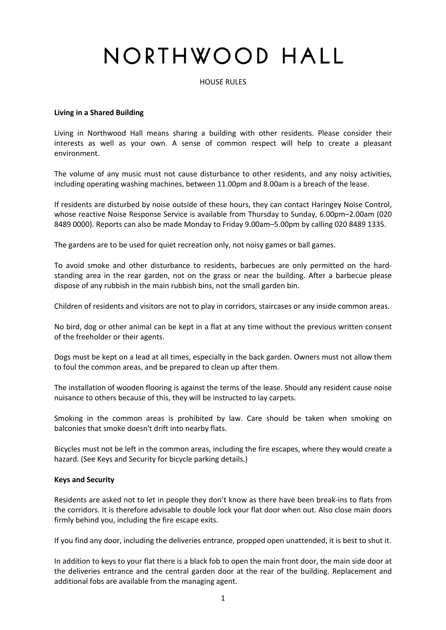# NORTHWOOD HALL

HOUSE RULES

## **Living in a Shared Building**

Living in Northwood Hall means sharing a building with other residents. Please consider their interests as well as your own. A sense of common respect will help to create a pleasant environment.

The volume of any music must not cause disturbance to other residents, and any noisy activities, including operating washing machines, between 11.00pm and 8.00am is a breach of the lease.

If residents are disturbed by noise outside of these hours, they can contact Haringey Noise Control, whose reactive Noise Response Service is available from Thursday to Sunday, 6.00pm–2.00am (020 8489 0000). Reports can also be made Monday to Friday 9.00am–5.00pm by calling 020 8489 1335.

The gardens are to be used for quiet recreation only, not noisy games or ball games.

To avoid smoke and other disturbance to residents, barbecues are only permitted on the hardstanding area in the rear garden, not on the grass or near the building. After a barbecue please dispose of any rubbish in the main rubbish bins, not the small garden bin.

Children of residents and visitors are not to play in corridors, staircases or any inside common areas.

No bird, dog or other animal can be kept in a flat at any time without the previous written consent of the freeholder or their agents.

Dogs must be kept on a lead at all times, especially in the back garden. Owners must not allow them to foul the common areas, and be prepared to clean up after them.

The installation of wooden flooring is against the terms of the lease. Should any resident cause noise nuisance to others because of this, they will be instructed to lay carpets.

Smoking in the common areas is prohibited by law. Care should be taken when smoking on balconies that smoke doesn't drift into nearby flats.

Bicycles must not be left in the common areas, including the fire escapes, where they would create a hazard. (See Keys and Security for bicycle parking details.)

## **Keys and Security**

Residents are asked not to let in people they don't know as there have been break-ins to flats from the corridors. It is therefore advisable to double lock your flat door when out. Also close main doors firmly behind you, including the fire escape exits.

If you find any door, including the deliveries entrance, propped open unattended, it is best to shut it.

In addition to keys to your flat there is a black fob to open the main front door, the main side door at the deliveries entrance and the central garden door at the rear of the building. Replacement and additional fobs are available from the managing agent.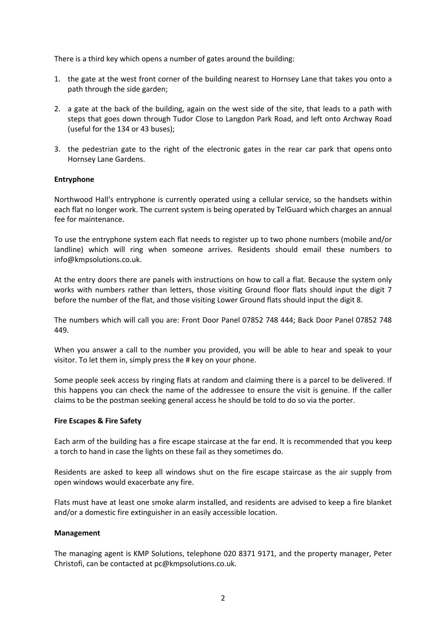There is a third key which opens a number of gates around the building:

- 1. the gate at the west front corner of the building nearest to Hornsey Lane that takes you onto a path through the side garden;
- 2. a gate at the back of the building, again on the west side of the site, that leads to a path with steps that goes down through Tudor Close to Langdon Park Road, and left onto Archway Road (useful for the 134 or 43 buses);
- 3. the pedestrian gate to the right of the electronic gates in the rear car park that opens onto Hornsey Lane Gardens.

# **Entryphone**

Northwood Hall's entryphone is currently operated using a cellular service, so the handsets within each flat no longer work. The current system is being operated by TelGuard which charges an annual fee for maintenance.

To use the entryphone system each flat needs to register up to two phone numbers (mobile and/or landline) which will ring when someone arrives. Residents should email these numbers to info@kmpsolutions.co.uk.

At the entry doors there are panels with instructions on how to call a flat. Because the system only works with numbers rather than letters, those visiting Ground floor flats should input the digit 7 before the number of the flat, and those visiting Lower Ground flats should input the digit 8.

The numbers which will call you are: Front Door Panel 07852 748 444; Back Door Panel 07852 748 449.

When you answer a call to the number you provided, you will be able to hear and speak to your visitor. To let them in, simply press the # key on your phone.

Some people seek access by ringing flats at random and claiming there is a parcel to be delivered. If this happens you can check the name of the addressee to ensure the visit is genuine. If the caller claims to be the postman seeking general access he should be told to do so via the porter.

## **Fire Escapes & Fire Safety**

Each arm of the building has a fire escape staircase at the far end. It is recommended that you keep a torch to hand in case the lights on these fail as they sometimes do.

Residents are asked to keep all windows shut on the fire escape staircase as the air supply from open windows would exacerbate any fire.

Flats must have at least one smoke alarm installed, and residents are advised to keep a fire blanket and/or a domestic fire extinguisher in an easily accessible location.

## **Management**

The managing agent is KMP Solutions, telephone 020 8371 9171, and the property manager, Peter Christofi, can be contacted at pc@kmpsolutions.co.uk.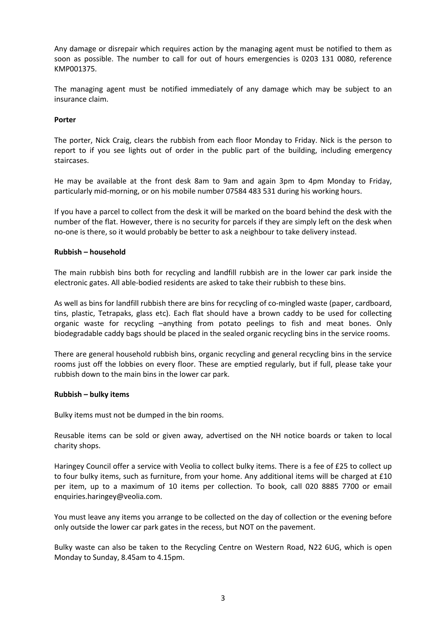Any damage or disrepair which requires action by the managing agent must be notified to them as soon as possible. The number to call for out of hours emergencies is 0203 131 0080, reference KMP001375.

The managing agent must be notified immediately of any damage which may be subject to an insurance claim.

## **Porter**

The porter, Nick Craig, clears the rubbish from each floor Monday to Friday. Nick is the person to report to if you see lights out of order in the public part of the building, including emergency staircases.

He may be available at the front desk 8am to 9am and again 3pm to 4pm Monday to Friday, particularly mid-morning, or on his mobile number 07584 483 531 during his working hours.

If you have a parcel to collect from the desk it will be marked on the board behind the desk with the number of the flat. However, there is no security for parcels if they are simply left on the desk when no-one is there, so it would probably be better to ask a neighbour to take delivery instead.

### **Rubbish – household**

The main rubbish bins both for recycling and landfill rubbish are in the lower car park inside the electronic gates. All able-bodied residents are asked to take their rubbish to these bins.

As well as bins for landfill rubbish there are bins for recycling of co-mingled waste (paper, cardboard, tins, plastic, Tetrapaks, glass etc). Each flat should have a brown caddy to be used for collecting organic waste for recycling –anything from potato peelings to fish and meat bones. Only biodegradable caddy bags should be placed in the sealed organic recycling bins in the service rooms.

There are general household rubbish bins, organic recycling and general recycling bins in the service rooms just off the lobbies on every floor. These are emptied regularly, but if full, please take your rubbish down to the main bins in the lower car park.

#### **Rubbish – bulky items**

Bulky items must not be dumped in the bin rooms.

Reusable items can be sold or given away, advertised on the NH notice boards or taken to local charity shops.

Haringey Council offer a service with Veolia to collect bulky items. There is a fee of £25 to collect up to four bulky items, such as furniture, from your home. Any additional items will be charged at £10 per item, up to a maximum of 10 items per collection. To book, call 020 8885 7700 or email enquiries.haringey@veolia.com.

You must leave any items you arrange to be collected on the day of collection or the evening before only outside the lower car park gates in the recess, but NOT on the pavement.

Bulky waste can also be taken to the Recycling Centre on Western Road, N22 6UG, which is open Monday to Sunday, 8.45am to 4.15pm.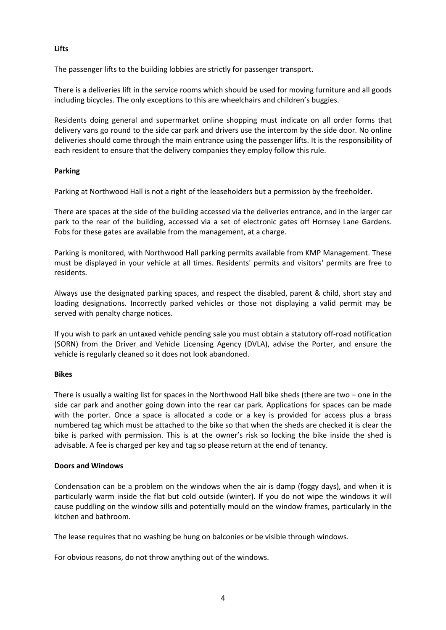## **Lifts**

The passenger lifts to the building lobbies are strictly for passenger transport.

There is a deliveries lift in the service rooms which should be used for moving furniture and all goods including bicycles. The only exceptions to this are wheelchairs and children's buggies.

Residents doing general and supermarket online shopping must indicate on all order forms that delivery vans go round to the side car park and drivers use the intercom by the side door. No online deliveries should come through the main entrance using the passenger lifts. It is the responsibility of each resident to ensure that the delivery companies they employ follow this rule.

# **Parking**

Parking at Northwood Hall is not a right of the leaseholders but a permission by the freeholder.

There are spaces at the side of the building accessed via the deliveries entrance, and in the larger car park to the rear of the building, accessed via a set of electronic gates off Hornsey Lane Gardens. Fobs for these gates are available from the management, at a charge.

Parking is monitored, with Northwood Hall parking permits available from KMP Management. These must be displayed in your vehicle at all times. Residents' permits and visitors' permits are free to residents.

Always use the designated parking spaces, and respect the disabled, parent & child, short stay and loading designations. Incorrectly parked vehicles or those not displaying a valid permit may be served with penalty charge notices.

If you wish to park an untaxed vehicle pending sale you must obtain a statutory off-road notification (SORN) from the Driver and Vehicle Licensing Agency (DVLA), advise the Porter, and ensure the vehicle is regularly cleaned so it does not look abandoned.

## **Bikes**

There is usually a waiting list for spaces in the Northwood Hall bike sheds (there are two – one in the side car park and another going down into the rear car park. Applications for spaces can be made with the porter. Once a space is allocated a code or a key is provided for access plus a brass numbered tag which must be attached to the bike so that when the sheds are checked it is clear the bike is parked with permission. This is at the owner's risk so locking the bike inside the shed is advisable. A fee is charged per key and tag so please return at the end of tenancy.

## **Doors and Windows**

Condensation can be a problem on the windows when the air is damp (foggy days), and when it is particularly warm inside the flat but cold outside (winter). If you do not wipe the windows it will cause puddling on the window sills and potentially mould on the window frames, particularly in the kitchen and bathroom.

The lease requires that no washing be hung on balconies or be visible through windows.

For obvious reasons, do not throw anything out of the windows.